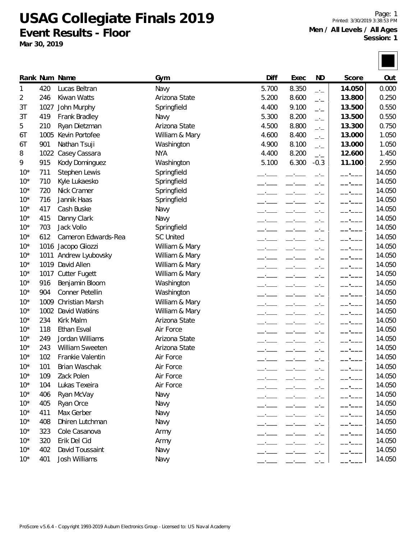**USAG Collegiate Finals 2019**

**Event Results - Floor Mar 30, 2019**

Page: 1 Printed: 3/30/2019 3:38:53 PM Ages **Second**: 1

| 11111100.070720170.00  |
|------------------------|
| Men / All Levels / All |
| Sessi                  |
|                        |
|                        |

|       |      | Rank Num Name          | Gym              | Diff  | Exec  | <b>ND</b>      | Score  | Out    |
|-------|------|------------------------|------------------|-------|-------|----------------|--------|--------|
| 1     | 420  | Lucas Beltran          | Navy             | 5.700 | 8.350 | $\overline{a}$ | 14.050 | 0.000  |
| 2     | 246  | Kiwan Watts            | Arizona State    | 5.200 | 8.600 | $\overline{a}$ | 13.800 | 0.250  |
| 3T    | 1027 | John Murphy            | Springfield      | 4.400 | 9.100 | $-1$           | 13.500 | 0.550  |
| 3T    | 419  | Frank Bradley          | Navy             | 5.300 | 8.200 | $ -$           | 13.500 | 0.550  |
| 5     | 210  | Ryan Dietzman          | Arizona State    | 4.500 | 8.800 | $-1$           | 13.300 | 0.750  |
| 6Τ    | 1005 | Kevin Portofee         | William & Mary   | 4.600 | 8.400 | $-1$           | 13.000 | 1.050  |
| 6T    | 901  | Nathan Tsuji           | Washington       | 4.900 | 8.100 | $-1$           | 13.000 | 1.050  |
| 8     | 1022 | Casey Cassara          | <b>NYA</b>       | 4.400 | 8.200 | $ -$           | 12.600 | 1.450  |
| 9     | 915  | Kody Dominguez         | Washington       | 5.100 | 6.300 | $-0.3$         | 11.100 | 2.950  |
| $10*$ | 711  | Stephen Lewis          | Springfield      |       |       |                |        | 14.050 |
| $10*$ | 710  | Kyle Lukaesko          | Springfield      |       |       | —'—            | $ -$   | 14.050 |
| $10*$ | 720  | Nick Cramer            | Springfield      |       |       |                | $ -$   | 14.050 |
| $10*$ | 716  | Jannik Haas            | Springfield      |       |       |                |        | 14.050 |
| $10*$ | 417  | Cash Buske             | Navy             |       |       |                |        | 14.050 |
| $10*$ | 415  | Danny Clark            | Navy             |       |       | —'—            | $ -$   | 14.050 |
| $10*$ | 703  | Jack Vollo             | Springfield      |       |       | —'—            | $-1$   | 14.050 |
| $10*$ | 612  | Cameron Edwards-Rea    | <b>SC United</b> |       |       |                |        | 14.050 |
| $10*$ | 1016 | Jacopo Gliozzi         | William & Mary   |       |       | —'—            | $-$    | 14.050 |
| $10*$ | 1011 | Andrew Lyubovsky       | William & Mary   |       |       |                |        | 14.050 |
| $10*$ | 1019 | David Allen            | William & Mary   |       |       |                |        | 14.050 |
| $10*$ | 1017 | <b>Cutter Fugett</b>   | William & Mary   |       |       |                |        | 14.050 |
| $10*$ | 916  | Benjamin Bloom         | Washington       |       |       |                |        | 14.050 |
| $10*$ | 904  | Conner Petellin        | Washington       |       |       |                |        | 14.050 |
| $10*$ | 1009 | <b>Christian Marsh</b> | William & Mary   |       |       |                | $ -$   | 14.050 |
| $10*$ | 1002 | David Watkins          | William & Mary   |       |       |                | $-$    | 14.050 |
| $10*$ | 234  | Kirk Malm              | Arizona State    |       |       | - —            | $-1$   | 14.050 |
| $10*$ | 118  | <b>Ethan Esval</b>     | Air Force        |       |       |                |        | 14.050 |
| $10*$ | 249  | Jordan Williams        | Arizona State    |       |       |                |        | 14.050 |
| $10*$ | 243  | <b>William Sweeten</b> | Arizona State    |       |       |                |        | 14.050 |
| $10*$ | 102  | Frankie Valentin       | Air Force        |       |       |                |        | 14.050 |
| $10*$ | 101  | Brian Waschak          | Air Force        |       |       | —'—            |        | 14.050 |
| $10*$ | 109  | Zack Polen             | Air Force        |       |       |                |        | 14.050 |
| $10*$ | 104  | Lukas Texeira          | Air Force        |       |       |                |        | 14.050 |
| $10*$ | 406  | Ryan McVay             | Navy             |       |       | —'—            |        | 14.050 |
| $10*$ | 405  | Ryan Orce              | Navy             |       |       | —'—            |        | 14.050 |
| $10*$ | 411  | Max Gerber             | Navy             |       |       | —∙—            |        | 14.050 |
| $10*$ | 408  | Dhiren Lutchman        | Navy             |       |       | -'-            |        | 14.050 |
| $10*$ | 323  | Cole Casanova          | Army             |       |       | —'—            |        | 14.050 |
| $10*$ | 320  | Erik Del Cid           | Army             |       |       |                |        | 14.050 |
| $10*$ | 402  | David Toussaint        | Navy             |       |       | -'-            |        | 14.050 |
| $10*$ | 401  | Josh Williams          | Navy             |       |       | - —            |        | 14.050 |
|       |      |                        |                  |       |       |                |        |        |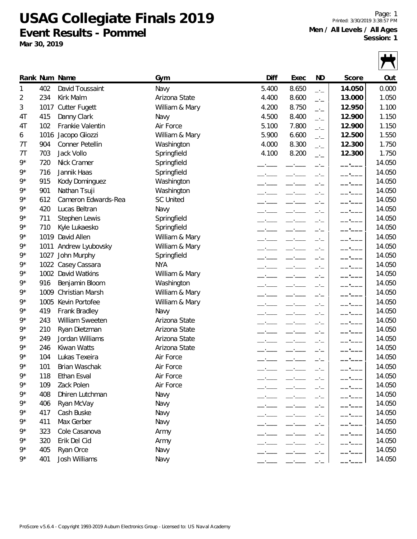**USAG Collegiate Finals 2019 Event Results - Pommel**

**Mar 30, 2019**

9\* 1002 David Watkins

Page: 1 Printed: 3/30/2019 3:38:57 PM **Men / All Levels / All Ages Session: 1**

|       | JESSIUIT. T<br>Mar 30, 2019 |                      |                  |       |       |                |        |        |
|-------|-----------------------------|----------------------|------------------|-------|-------|----------------|--------|--------|
|       |                             |                      |                  |       |       |                |        |        |
|       |                             | Rank Num Name        | Gym              | Diff  | Exec  | ND             | Score  | Out    |
|       | 402                         | David Toussaint      | Navy             | 5.400 | 8.650 | $-1$           | 14.050 | 0.000  |
| 2     | 234                         | Kirk Malm            | Arizona State    | 4.400 | 8.600 | $-1$           | 13.000 | 1.050  |
| 3     | 1017                        | <b>Cutter Fugett</b> | William & Mary   | 4.200 | 8.750 | $-1$           | 12.950 | 1.100  |
| 4T    | 415                         | Danny Clark          | Navy             | 4.500 | 8.400 | $-1$           | 12.900 | 1.150  |
| 4T    | 102                         | Frankie Valentin     | Air Force        | 5.100 | 7.800 | $-1$           | 12.900 | 1.150  |
| 6     | 1016                        | Jacopo Gliozzi       | William & Mary   | 5.900 | 6.600 | $-\frac{1}{2}$ | 12.500 | 1.550  |
| 7Т    | 904                         | Conner Petellin      | Washington       | 4.000 | 8.300 | $-1$           | 12.300 | 1.750  |
| 7Т    | 703                         | Jack Vollo           | Springfield      | 4.100 | 8.200 | $-1$           | 12.300 | 1.750  |
| $9*$  | 720                         | Nick Cramer          | Springfield      |       |       |                |        | 14.050 |
| 9*    | 716                         | Jannik Haas          | Springfield      |       |       |                |        | 14.050 |
| $9*$  | 915                         | Kody Dominguez       | Washington       |       |       |                |        | 14.050 |
| $9*$  | 901                         | Nathan Tsuji         | Washington       |       |       |                |        | 14.050 |
| $9*$  | 612                         | Cameron Edwards-Rea  | <b>SC United</b> |       |       |                |        | 14.050 |
| $9*$  | 420                         | Lucas Beltran        | Navy             |       |       |                |        | 14.050 |
| $9^*$ | 711                         | Stephen Lewis        | Springfield      |       |       |                |        | 14.050 |
| $9*$  | 710                         | Kyle Lukaesko        | Springfield      |       |       | —'—            |        | 14.050 |
| $9*$  | 1019                        | David Allen          | William & Mary   |       |       |                |        | 14.050 |
| $9^*$ | 1011                        | Andrew Lyubovsky     | William & Mary   |       |       |                |        | 14.050 |
| $9^*$ | 1027                        | John Murphy          | Springfield      |       |       |                |        | 14.050 |
| $9*$  |                             | 1022 Casey Cassara   | <b>NYA</b>       |       |       |                |        | 14.050 |
| Q*    |                             | 1002 David Watkins   | William & Mary   |       |       |                |        | 14 050 |

9\* 916 Benjamin Bloom Washington \_\_.\_\_\_ \_\_.\_\_\_ \_.\_ **\_\_.\_\_\_** 14.050 9<sup>\*</sup> 1009 Christian Marsh William & Mary **\_\_\_\_ \_\_\_**\_\_\_ \_\_\_\_ \_\_\_ \_\_\_ | \_\_\_\_ 14.050 9\* 1005 Kevin Portofee William & Mary \_\_.\_\_\_ \_\_.\_\_\_ \_.\_ **\_\_.\_\_\_** 14.050 9\* 419 Frank Bradley Navy \_\_.\_\_\_ \_\_.\_\_\_ \_.\_ **\_\_.\_\_\_** 14.050 9\* 243 William Sweeten Arizona State \_\_.\_\_\_ \_\_.\_\_\_ \_.\_ **\_\_.\_\_\_** 14.050 9\* 210 Ryan Dietzman Arizona State \_\_.\_\_\_ \_\_.\_\_\_ \_.\_ **\_\_.\_\_\_** 14.050 9\* 249 Jordan Williams Arizona State \_\_.\_\_\_ \_\_.\_\_\_ \_.\_ **\_\_.\_\_\_** 14.050 9\* 246 Kiwan Watts Arizona State \_\_.\_\_\_ \_\_.\_\_\_ \_.\_ **\_\_.\_\_\_** 14.050 9\* 104 Lukas Texeira Air Force \_\_.\_\_\_ \_\_.\_\_\_ \_.\_\_ | \_\_.\_\_\_\_\_ | 14.050 9\* 101 Brian Waschak Air Force \_\_.\_\_\_ \_\_.\_\_\_ \_.\_ **\_\_.\_\_\_** 14.050 9\* 118 Ethan Esval Air Force \_\_.\_\_\_ \_\_.\_\_\_ \_.\_\_ | \_\_.\_\_\_\_\_ | 14.050 9\* 109 Zack Polen Air Force \_\_.\_\_\_ \_\_.\_\_\_ \_.\_\_ | \_\_.\_\_\_\_\_ | 14.050 9<sup>\*</sup> 408 Dhiren Lutchman Navy Navy 2014 14.050 9\* 406 Ryan McVay Navy \_\_.\_\_\_ \_\_.\_\_\_ \_.\_ **\_\_.\_\_\_** 14.050 9\* 417 Cash Buske Navy \_\_.\_\_\_ \_\_.\_\_\_ \_.\_ **\_\_.\_\_\_** 14.050 9\* 411 Max Gerber Navy \_\_.\_\_\_ \_\_.\_\_\_ \_.\_ **\_\_.\_\_\_** 14.050 9\* 323 Cole Casanova Army \_\_.\_\_\_ \_\_.\_\_\_ \_.\_ **\_\_.\_\_\_** 14.050 9\* 320 Erik Del Cid Army \_\_.\_\_\_ \_\_.\_\_\_ \_.\_ **\_\_.\_\_\_** 14.050 9\* 405 Ryan Orce Navy \_\_.\_\_\_ \_\_.\_\_\_ \_.\_ **\_\_.\_\_\_** 14.050 9\* 401 Josh Williams Navy \_\_.\_\_\_ \_\_.\_\_\_ \_.\_ **\_\_.\_\_\_** 14.050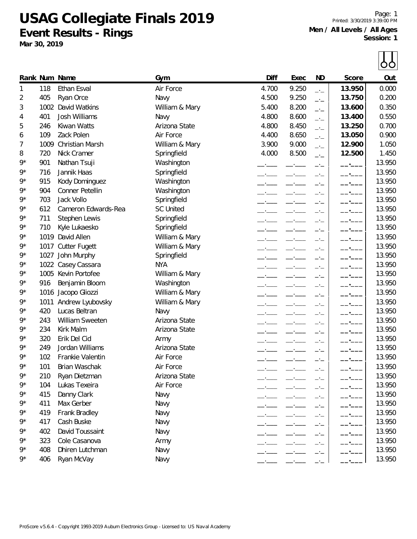**USAG Collegiate Finals 2019 Event Results - Rings**

**Mar 30, 2019**

Page: 1 Printed: 3/30/2019 3:39:00 PM **Men / All Levels / All Ages Session: 1**

|       |      |                        |                  |       |       |      |        | OO     |
|-------|------|------------------------|------------------|-------|-------|------|--------|--------|
|       |      | Rank Num Name          | Gym              | Diff  | Exec  | ND   | Score  | Out    |
| 1     | 118  | <b>Ethan Esval</b>     | Air Force        | 4.700 | 9.250 | $-1$ | 13.950 | 0.000  |
| 2     | 405  | Ryan Orce              | Navy             | 4.500 | 9.250 | $-1$ | 13.750 | 0.200  |
| 3     | 1002 | David Watkins          | William & Mary   | 5.400 | 8.200 | $-1$ | 13.600 | 0.350  |
| 4     | 401  | <b>Josh Williams</b>   | Navy             | 4.800 | 8.600 | $-1$ | 13.400 | 0.550  |
| 5     | 246  | Kiwan Watts            | Arizona State    | 4.800 | 8.450 | $ -$ | 13.250 | 0.700  |
| 6     | 109  | Zack Polen             | Air Force        | 4.400 | 8.650 | $-1$ | 13.050 | 0.900  |
| 7     | 1009 | <b>Christian Marsh</b> | William & Mary   | 3.900 | 9.000 | $-1$ | 12.900 | 1.050  |
| 8     | 720  | Nick Cramer            | Springfield      | 4.000 | 8.500 | $-1$ | 12.500 | 1.450  |
| $9*$  | 901  | Nathan Tsuji           | Washington       |       |       |      |        | 13.950 |
| $9*$  | 716  | Jannik Haas            | Springfield      |       |       |      |        | 13.950 |
| $9*$  | 915  | Kody Dominguez         | Washington       |       |       |      |        | 13.950 |
| $9*$  | 904  | Conner Petellin        | Washington       |       |       |      |        | 13.950 |
| $9*$  | 703  | Jack Vollo             | Springfield      |       |       |      |        | 13.950 |
| $9*$  | 612  | Cameron Edwards-Rea    | <b>SC United</b> |       |       | —'—  |        | 13.950 |
| $9*$  | 711  | Stephen Lewis          | Springfield      |       |       | —'—  |        | 13.950 |
| $9*$  | 710  | Kyle Lukaesko          | Springfield      |       |       | $-1$ |        | 13.950 |
| $9*$  | 1019 | David Allen            | William & Mary   |       |       | —'—  |        | 13.950 |
| 9*    | 1017 | <b>Cutter Fugett</b>   | William & Mary   |       |       |      |        | 13.950 |
| 9*    | 1027 | John Murphy            | Springfield      |       |       |      |        | 13.950 |
| 9*    |      | 1022 Casey Cassara     | <b>NYA</b>       |       |       |      |        | 13.950 |
| $9*$  |      | 1005 Kevin Portofee    | William & Mary   |       |       |      |        | 13.950 |
| $9*$  | 916  | Benjamin Bloom         | Washington       |       |       |      |        | 13.950 |
| 9*    |      | 1016 Jacopo Gliozzi    | William & Mary   |       |       |      |        | 13.950 |
| $9*$  | 1011 | Andrew Lyubovsky       | William & Mary   |       |       |      |        | 13.950 |
| $9*$  | 420  | Lucas Beltran          | Navy             |       |       |      |        | 13.950 |
| $9*$  | 243  | William Sweeten        | Arizona State    |       |       |      |        | 13.950 |
| 9*    | 234  | Kirk Malm              | Arizona State    |       |       |      |        | 13.950 |
| $9*$  | 320  | Erik Del Cid           | Army             |       |       |      |        | 13.950 |
| $9*$  | 249  | Jordan Williams        | Arizona State    |       |       | —'—  |        | 13.950 |
| 9*    | 102  | Frankie Valentin       | Air Force        |       |       |      |        | 13.950 |
| $9*$  | 101  | Brian Waschak          | Air Force        |       |       |      |        | 13.950 |
| $9*$  | 210  | Ryan Dietzman          | Arizona State    |       |       |      |        | 13.950 |
| $9^*$ | 104  | Lukas Texeira          | Air Force        |       |       |      |        | 13.950 |
| 9*    | 415  | Danny Clark            | Navy             |       |       |      |        | 13.950 |
| 9*    | 411  | Max Gerber             | Navy             |       |       |      |        | 13.950 |
| $9*$  | 419  | Frank Bradley          | Navy             |       |       | —'—  |        | 13.950 |
| 9*    | 417  | Cash Buske             | Navy             |       |       |      |        | 13.950 |
| 9*    | 402  | David Toussaint        | Navy             |       |       |      |        | 13.950 |
| $9*$  | 323  | Cole Casanova          | Army             |       |       |      |        | 13.950 |
| $9^*$ | 408  | Dhiren Lutchman        | Navy             |       |       |      |        | 13.950 |
| $9^*$ | 406  | Ryan McVay             | Navy             |       |       |      |        | 13.950 |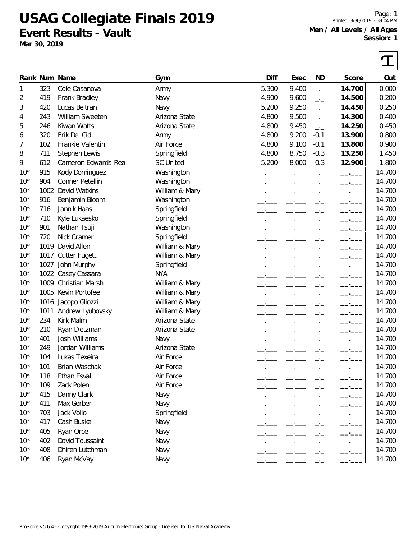**USAG Collegiate Finals 2019 Event Results - Vault**

**Mar 30, 2019**

Page: 1 Printed: 3/30/2019 3:39:04 PM **Men / All Levels / All Ages Session: 1**

|       |      | Rank Num Name        | Gym              | Diff  | Exec  | ND     | Score  | Out    |
|-------|------|----------------------|------------------|-------|-------|--------|--------|--------|
| 1     | 323  | Cole Casanova        | Army             | 5.300 | 9.400 | $-1$   | 14.700 | 0.000  |
| 2     | 419  | Frank Bradley        | Navy             | 4.900 | 9.600 | $ -$   | 14.500 | 0.200  |
| 3     | 420  | Lucas Beltran        | Navy             | 5.200 | 9.250 | $ -$   | 14.450 | 0.250  |
| 4     | 243  | William Sweeten      | Arizona State    | 4.800 | 9.500 | $-1$   | 14.300 | 0.400  |
| 5     | 246  | Kiwan Watts          | Arizona State    | 4.800 | 9.450 | $-1$   | 14.250 | 0.450  |
| 6     | 320  | Erik Del Cid         | Army             | 4.800 | 9.200 | $-0.1$ | 13.900 | 0.800  |
| 7     | 102  | Frankie Valentin     | Air Force        | 4.800 | 9.100 | $-0.1$ | 13.800 | 0.900  |
| 8     | 711  | Stephen Lewis        | Springfield      | 4.800 | 8.750 | $-0.3$ | 13.250 | 1.450  |
| 9     | 612  | Cameron Edwards-Rea  | <b>SC United</b> | 5.200 | 8.000 | $-0.3$ | 12.900 | 1.800  |
| $10*$ | 915  | Kody Dominguez       | Washington       |       |       |        |        | 14.700 |
| $10*$ | 904  | Conner Petellin      | Washington       |       |       |        |        | 14.700 |
| $10*$ | 1002 | David Watkins        | William & Mary   |       |       |        |        | 14.700 |
| $10*$ | 916  | Benjamin Bloom       | Washington       |       |       |        |        | 14.700 |
| $10*$ | 716  | Jannik Haas          | Springfield      |       |       |        |        | 14.700 |
| $10*$ | 710  | Kyle Lukaesko        | Springfield      |       |       |        |        | 14.700 |
| $10*$ | 901  | Nathan Tsuji         | Washington       |       |       |        |        | 14.700 |
| $10*$ | 720  | Nick Cramer          | Springfield      |       |       |        |        | 14.700 |
| $10*$ | 1019 | David Allen          | William & Mary   |       |       |        |        | 14.700 |
| $10*$ | 1017 | <b>Cutter Fugett</b> | William & Mary   |       |       |        |        | 14.700 |
| $10*$ | 1027 | John Murphy          | Springfield      |       |       |        |        | 14.700 |
| $10*$ |      | 1022 Casey Cassara   | <b>NYA</b>       |       |       |        |        | 14.700 |
| $10*$ |      | 1009 Christian Marsh | William & Mary   |       |       |        |        | 14.700 |
| $10*$ |      | 1005 Kevin Portofee  | William & Mary   |       |       |        |        | 14.700 |
| $10*$ |      | 1016 Jacopo Gliozzi  | William & Mary   |       |       |        |        | 14.700 |
| $10*$ | 1011 | Andrew Lyubovsky     | William & Mary   |       |       |        |        | 14.700 |
| $10*$ | 234  | Kirk Malm            | Arizona State    |       |       |        |        | 14.700 |
| $10*$ | 210  | Ryan Dietzman        | Arizona State    |       |       |        |        | 14.700 |
| $10*$ | 401  | <b>Josh Williams</b> | Navy             |       |       |        |        | 14.700 |
| $10*$ | 249  | Jordan Williams      | Arizona State    |       |       |        |        | 14.700 |
| $10*$ | 104  | Lukas Texeira        | Air Force        |       |       |        |        | 14.700 |
| $10*$ | 101  | Brian Waschak        | Air Force        |       |       |        |        | 14.700 |
| $10*$ | 118  | Ethan Esval          | Air Force        |       |       |        |        | 14.700 |
| $10*$ | 109  | Zack Polen           | Air Force        |       |       |        |        | 14.700 |
| $10*$ | 415  | Danny Clark          | Navy             |       |       |        |        | 14.700 |
| $10*$ | 411  | Max Gerber           | Navy             |       |       |        |        | 14.700 |
| $10*$ | 703  | Jack Vollo           | Springfield      |       |       |        |        | 14.700 |
| $10*$ | 417  | Cash Buske           | Navy             |       |       |        |        | 14.700 |
| $10*$ | 405  | Ryan Orce            | Navy             |       |       |        |        | 14.700 |
| $10*$ | 402  | David Toussaint      | Navy             |       |       |        |        | 14.700 |
| $10*$ | 408  | Dhiren Lutchman      | Navy             |       |       |        |        | 14.700 |
| $10*$ | 406  | Ryan McVay           | Navy             |       |       |        |        | 14.700 |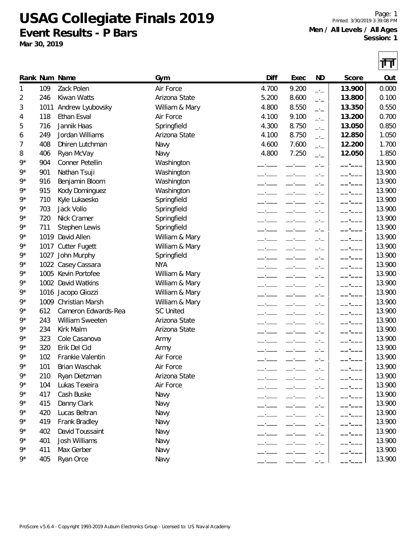**USAG Collegiate Finals 2019 Event Results - P Bars**

**Mar 30, 2019**

Page: 1 Printed: 3/30/2019 3:39:08 PM **Men / All Levels / All Ages Session: 1**

|             |      |                      |                  |       |       |            |        | गा     |
|-------------|------|----------------------|------------------|-------|-------|------------|--------|--------|
|             |      | Rank Num Name        | Gym              | Diff  | Exec  | ND         | Score  | Out    |
| 1           | 109  | Zack Polen           | Air Force        | 4.700 | 9.200 | $-1$       | 13.900 | 0.000  |
| 2           | 246  | Kiwan Watts          | Arizona State    | 5.200 | 8.600 | $-1$       | 13.800 | 0.100  |
| 3           | 1011 | Andrew Lyubovsky     | William & Mary   | 4.800 | 8.550 | $-1$       | 13.350 | 0.550  |
| 4           | 118  | Ethan Esval          | Air Force        | 4.100 | 9.100 | $-1$       | 13.200 | 0.700  |
| 5           | 716  | Jannik Haas          | Springfield      | 4.300 | 8.750 | $-1$       | 13.050 | 0.850  |
| 6           | 249  | Jordan Williams      | Arizona State    | 4.100 | 8.750 | $-1$       | 12.850 | 1.050  |
| 7           | 408  | Dhiren Lutchman      | Navy             | 4.600 | 7.600 | $-1$       | 12.200 | 1.700  |
| 8           | 406  | Ryan McVay           | Navy             | 4.800 | 7.250 | $-1$       | 12.050 | 1.850  |
| 9*          | 904  | Conner Petellin      | Washington       |       |       | $-1$       |        | 13.900 |
| $9*$        | 901  | Nathan Tsuji         | Washington       |       |       | $-1$       | $ -$   | 13.900 |
| $9*$        | 916  | Benjamin Bloom       | Washington       |       |       | $ -$       | $-$    | 13.900 |
| 9*          | 915  | Kody Dominguez       | Washington       |       |       | —'—        |        | 13.900 |
| 9*          | 710  | Kyle Lukaesko        | Springfield      |       |       | $-1$       |        | 13.900 |
| 9*          | 703  | Jack Vollo           | Springfield      |       |       |            |        | 13.900 |
| 9*          | 720  | Nick Cramer          | Springfield      |       |       | $-1$       |        | 13.900 |
| 9*          | 711  | Stephen Lewis        | Springfield      |       |       | — <u>—</u> |        | 13.900 |
| 9*          | 1019 | David Allen          | William & Mary   |       |       |            |        | 13.900 |
| $9*$        |      | 1017 Cutter Fugett   | William & Mary   |       |       |            |        | 13.900 |
| 9*          |      | 1027 John Murphy     | Springfield      |       |       | —'—        |        | 13.900 |
| 9*          |      | 1022 Casey Cassara   | <b>NYA</b>       |       |       | $-1$       | $-$    | 13.900 |
| 9*          |      | 1005 Kevin Portofee  | William & Mary   |       |       | —•—        |        | 13.900 |
| 9*          |      | 1002 David Watkins   | William & Mary   |       |       | —'—        |        | 13.900 |
| 9*          |      | 1016 Jacopo Gliozzi  | William & Mary   |       |       | —'—        |        | 13.900 |
| 9*          |      | 1009 Christian Marsh | William & Mary   |       |       |            |        | 13.900 |
| $9*$        | 612  | Cameron Edwards-Rea  | <b>SC United</b> |       |       |            |        | 13.900 |
| 9*          | 243  | William Sweeten      | Arizona State    |       |       | $-1$       |        | 13.900 |
| 9*          | 234  | Kirk Malm            | Arizona State    |       |       | $-1$       |        | 13.900 |
| 9*          | 323  | Cole Casanova        | Army             |       |       | —'—        |        | 13.900 |
| 9*          | 320  | Erik Del Cid         | Army             |       |       |            |        | 13.900 |
| 9*          | 102  | Frankie Valentin     | Air Force        |       |       |            |        | 13.900 |
| 9*          | 101  | Brian Waschak        | Air Force        |       |       |            |        | 13.900 |
| 9*          | 210  | Ryan Dietzman        | Arizona State    |       |       |            |        | 13.900 |
| $9*$        | 104  | Lukas Texeira        | Air Force        |       |       |            |        | 13.900 |
| 9*          | 417  | Cash Buske           | Navy             |       |       |            |        | 13.900 |
| 9*          | 415  | Danny Clark          | Navy             |       |       |            |        | 13.900 |
| 9*          | 420  | Lucas Beltran        | Navy             |       |       |            |        | 13.900 |
| $9^{\star}$ | 419  | Frank Bradley        | Navy             |       |       |            |        | 13.900 |
| 9*          | 402  | David Toussaint      | Navy             |       |       | —'—        |        | 13.900 |
| 9*          | 401  | Josh Williams        | Navy             |       |       | —'—        |        | 13.900 |
| 9*          | 411  | Max Gerber           | Navy             |       |       | —'—        |        | 13.900 |
| 9*          | 405  | Ryan Orce            | Navy             |       |       | - —        |        | 13.900 |
|             |      |                      |                  |       |       |            |        |        |